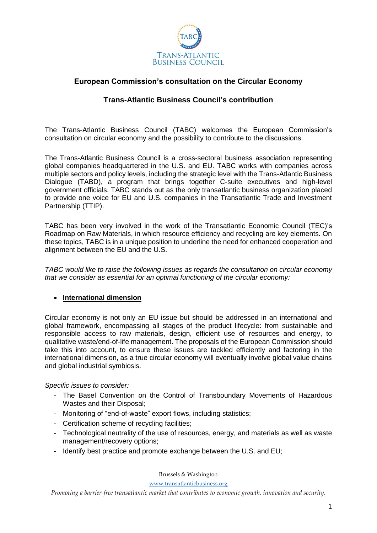

# **European Commission's consultation on the Circular Economy**

# **Trans-Atlantic Business Council's contribution**

The Trans-Atlantic Business Council (TABC) welcomes the European Commission's consultation on circular economy and the possibility to contribute to the discussions.

The Trans-Atlantic Business Council is a cross-sectoral business association representing global companies headquartered in the U.S. and EU. TABC works with companies across multiple sectors and policy levels, including the strategic level with the Trans-Atlantic Business Dialogue (TABD), a program that brings together C-suite executives and high-level government officials. TABC stands out as the only transatlantic business organization placed to provide one voice for EU and U.S. companies in the Transatlantic Trade and Investment Partnership (TTIP).

TABC has been very involved in the work of the Transatlantic Economic Council (TEC)'s Roadmap on Raw Materials, in which resource efficiency and recycling are key elements. On these topics, TABC is in a unique position to underline the need for enhanced cooperation and alignment between the EU and the U.S.

*TABC would like to raise the following issues as regards the consultation on circular economy that we consider as essential for an optimal functioning of the circular economy:*

### **International dimension**

Circular economy is not only an EU issue but should be addressed in an international and global framework, encompassing all stages of the product lifecycle: from sustainable and responsible access to raw materials, design, efficient use of resources and energy, to qualitative waste/end-of-life management. The proposals of the European Commission should take this into account, to ensure these issues are tackled efficiently and factoring in the international dimension, as a true circular economy will eventually involve global value chains and global industrial symbiosis.

### *Specific issues to consider:*

- The Basel Convention on the Control of Transboundary Movements of Hazardous Wastes and their Disposal;
- Monitoring of "end-of-waste" export flows, including statistics;
- Certification scheme of recycling facilities;
- Technological neutrality of the use of resources, energy, and materials as well as waste management/recovery options;
- Identify best practice and promote exchange between the U.S. and EU;

Brussels & Washington

[www.transatlanticbusiness.org](http://www.transatlanticbusiness.org/)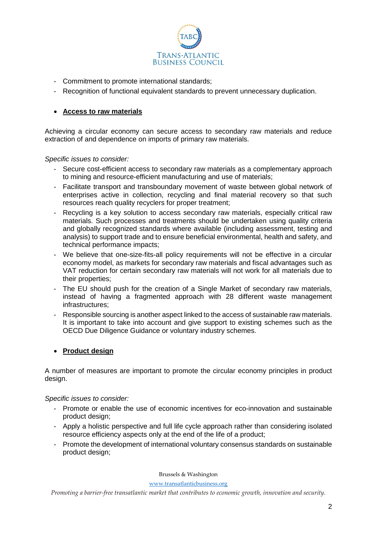

- Commitment to promote international standards;
- Recognition of functional equivalent standards to prevent unnecessary duplication.

### **Access to raw materials**

Achieving a circular economy can secure access to secondary raw materials and reduce extraction of and dependence on imports of primary raw materials.

#### *Specific issues to consider:*

- Secure cost-efficient access to secondary raw materials as a complementary approach to mining and resource-efficient manufacturing and use of materials;
- Facilitate transport and transboundary movement of waste between global network of enterprises active in collection, recycling and final material recovery so that such resources reach quality recyclers for proper treatment;
- Recycling is a key solution to access secondary raw materials, especially critical raw materials. Such processes and treatments should be undertaken using quality criteria and globally recognized standards where available (including assessment, testing and analysis) to support trade and to ensure beneficial environmental, health and safety, and technical performance impacts;
- We believe that one-size-fits-all policy requirements will not be effective in a circular economy model, as markets for secondary raw materials and fiscal advantages such as VAT reduction for certain secondary raw materials will not work for all materials due to their properties;
- The EU should push for the creation of a Single Market of secondary raw materials, instead of having a fragmented approach with 28 different waste management infrastructures;
- Responsible sourcing is another aspect linked to the access of sustainable raw materials. It is important to take into account and give support to existing schemes such as the OECD Due Diligence Guidance or voluntary industry schemes.

### **Product design**

A number of measures are important to promote the circular economy principles in product design.

*Specific issues to consider:*

- Promote or enable the use of economic incentives for eco-innovation and sustainable product design;
- Apply a holistic perspective and full life cycle approach rather than considering isolated resource efficiency aspects only at the end of the life of a product;
- Promote the development of international voluntary consensus standards on sustainable product design;

Brussels & Washington

[www.transatlanticbusiness.org](http://www.transatlanticbusiness.org/)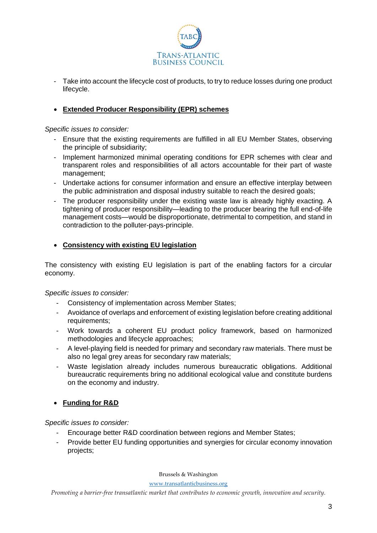

- Take into account the lifecycle cost of products, to try to reduce losses during one product lifecycle.

## **Extended Producer Responsibility (EPR) schemes**

*Specific issues to consider:*

- Ensure that the existing requirements are fulfilled in all EU Member States, observing the principle of subsidiarity;
- Implement harmonized minimal operating conditions for EPR schemes with clear and transparent roles and responsibilities of all actors accountable for their part of waste management;
- Undertake actions for consumer information and ensure an effective interplay between the public administration and disposal industry suitable to reach the desired goals;
- The producer responsibility under the existing waste law is already highly exacting. A tightening of producer responsibility—leading to the producer bearing the full end-of-life management costs—would be disproportionate, detrimental to competition, and stand in contradiction to the polluter-pays-principle.

### **Consistency with existing EU legislation**

The consistency with existing EU legislation is part of the enabling factors for a circular economy.

#### *Specific issues to consider:*

- Consistency of implementation across Member States;
- Avoidance of overlaps and enforcement of existing legislation before creating additional requirements;
- Work towards a coherent EU product policy framework, based on harmonized methodologies and lifecycle approaches;
- A level-playing field is needed for primary and secondary raw materials. There must be also no legal grey areas for secondary raw materials;
- Waste legislation already includes numerous bureaucratic obligations. Additional bureaucratic requirements bring no additional ecological value and constitute burdens on the economy and industry.

### **Funding for R&D**

#### *Specific issues to consider:*

- Encourage better R&D coordination between regions and Member States;
- Provide better EU funding opportunities and synergies for circular economy innovation projects;

Brussels & Washington

[www.transatlanticbusiness.org](http://www.transatlanticbusiness.org/)